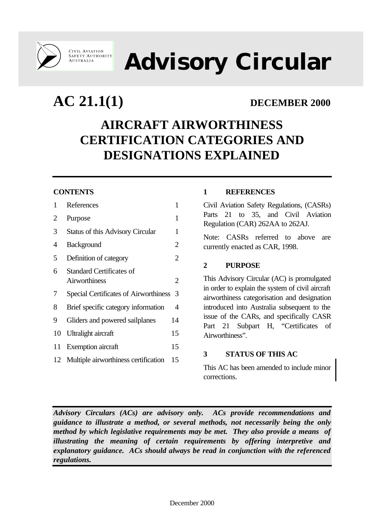

CIVIL AVIATION<br>SAFETY AUTHORITY<br>AUSTRALIA

**Advisory Circular**

**AC 21.1(1) DECEMBER 2000**

# **AIRCRAFT AIRWORTHINESS CERTIFICATION CATEGORIES AND DESIGNATIONS EXPLAINED**

# **CONTENTS**

| 1  | References                              | 1  |
|----|-----------------------------------------|----|
| 2  | Purpose                                 | 1  |
| 3  | <b>Status of this Advisory Circular</b> | 1  |
| 4  | <b>Background</b>                       | 2  |
| 5  | Definition of category                  | 2  |
| 6  | Standard Certificates of                |    |
|    | <b>Airworthiness</b>                    | 2  |
| 7  | Special Certificates of Airworthiness   | 3  |
| 8  | Brief specific category information     | 4  |
| 9  | Gliders and powered sailplanes          | 14 |
| 10 | Ultralight aircraft                     | 15 |
| 11 | <b>Exemption</b> aircraft               | 15 |
| 12 | Multiple airworthiness certification    | 15 |
|    |                                         |    |

# **1 REFERENCES**

Civil Aviation Safety Regulations, (CASRs) Parts 21 to 35, and Civil Aviation Regulation (CAR) 262AA to 262AJ.

Note: CASRs referred to above are currently enacted as CAR, 1998.

# **2 PURPOSE**

This Advisory Circular (AC) is promulgated in order to explain the system of civil aircraft airworthiness categorisation and designation introduced into Australia subsequent to the issue of the CARs, and specifically CASR Part 21 Subpart H, "Certificates of Airworthiness".

### **3 STATUS OF THIS AC**

This AC has been amended to include minor corrections.

*Advisory Circulars (ACs) are advisory only. ACs provide recommendations and guidance to illustrate a method, or several methods, not necessarily being the only method by which legislative requirements may be met. They also provide a means of illustrating the meaning of certain requirements by offering interpretive and explanatory guidance. ACs should always be read in conjunction with the referenced regulations.*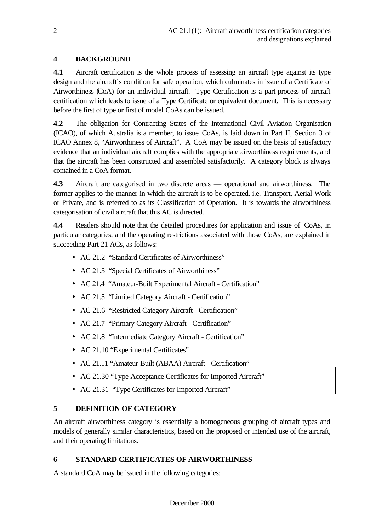# **4 BACKGROUND**

**4.1** Aircraft certification is the whole process of assessing an aircraft type against its type design and the aircraft's condition for safe operation, which culminates in issue of a Certificate of Airworthiness (CoA) for an individual aircraft. Type Certification is a part-process of aircraft certification which leads to issue of a Type Certificate or equivalent document. This is necessary before the first of type or first of model CoAs can be issued.

**4.2** The obligation for Contracting States of the International Civil Aviation Organisation (ICAO), of which Australia is a member, to issue CoAs, is laid down in Part II, Section 3 of ICAO Annex 8, "Airworthiness of Aircraft". A CoA may be issued on the basis of satisfactory evidence that an individual aircraft complies with the appropriate airworthiness requirements, and that the aircraft has been constructed and assembled satisfactorily. A category block is always contained in a CoA format.

**4.3** Aircraft are categorised in two discrete areas — operational and airworthiness. The former applies to the manner in which the aircraft is to be operated, i.e. Transport, Aerial Work or Private, and is referred to as its Classification of Operation. It is towards the airworthiness categorisation of civil aircraft that this AC is directed.

**4.4** Readers should note that the detailed procedures for application and issue of CoAs, in particular categories, and the operating restrictions associated with those CoAs, are explained in succeeding Part 21 ACs, as follows:

- AC 21.2 "Standard Certificates of Airworthiness"
- AC 21.3 "Special Certificates of Airworthiness"
- AC 21.4 "Amateur-Built Experimental Aircraft Certification"
- AC 21.5 "Limited Category Aircraft Certification"
- AC 21.6 "Restricted Category Aircraft Certification"
- AC 21.7 "Primary Category Aircraft Certification"
- AC 21.8 "Intermediate Category Aircraft Certification"
- AC 21.10 "Experimental Certificates"
- AC 21.11 "Amateur-Built (ABAA) Aircraft Certification"
- AC 21.30 "Type Acceptance Certificates for Imported Aircraft"
- AC 21.31 "Type Certificates for Imported Aircraft"

# **5 DEFINITION OF CATEGORY**

An aircraft airworthiness category is essentially a homogeneous grouping of aircraft types and models of generally similar characteristics, based on the proposed or intended use of the aircraft, and their operating limitations.

# **6 STANDARD CERTIFICATES OF AIRWORTHINESS**

A standard CoA may be issued in the following categories: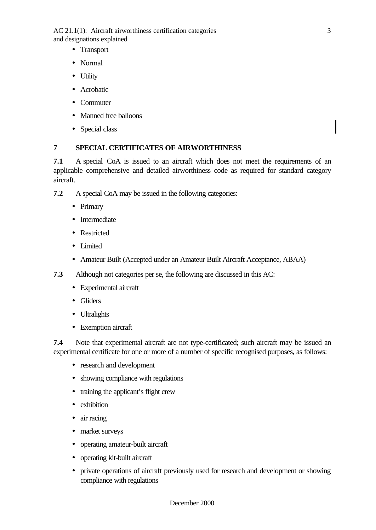- Transport
- Normal
- Utility
- Acrobatic
- Commuter
- Manned free balloons
- Special class

### **7 SPECIAL CERTIFICATES OF AIRWORTHINESS**

**7.1** A special CoA is issued to an aircraft which does not meet the requirements of an applicable comprehensive and detailed airworthiness code as required for standard category aircraft.

- **7.2** A special CoA may be issued in the following categories:
	- Primary
	- Intermediate
	- Restricted
	- Limited
	- Amateur Built (Accepted under an Amateur Built Aircraft Acceptance, ABAA)
- **7.3** Although not categories per se, the following are discussed in this AC:
	- Experimental aircraft
	- Gliders
	- Ultralights
	- Exemption aircraft

**7.4** Note that experimental aircraft are not type-certificated; such aircraft may be issued an experimental certificate for one or more of a number of specific recognised purposes, as follows:

- research and development
- showing compliance with regulations
- training the applicant's flight crew
- exhibition
- air racing
- market surveys
- operating amateur-built aircraft
- operating kit-built aircraft
- private operations of aircraft previously used for research and development or showing compliance with regulations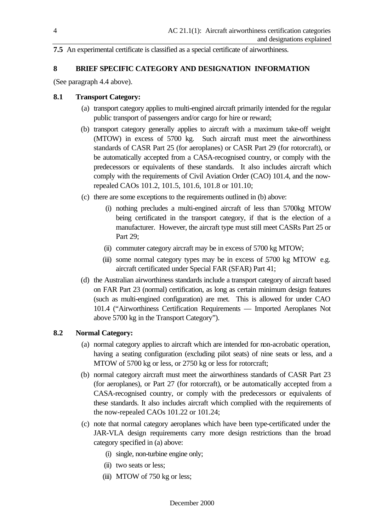**7.5** An experimental certificate is classified as a special certificate of airworthiness.

#### **8 BRIEF SPECIFIC CATEGORY AND DESIGNATION INFORMATION**

(See paragraph 4.4 above).

#### **8.1 Transport Category:**

- (a) transport category applies to multi-engined aircraft primarily intended for the regular public transport of passengers and/or cargo for hire or reward;
- (b) transport category generally applies to aircraft with a maximum take-off weight (MTOW) in excess of 5700 kg. Such aircraft must meet the airworthiness standards of CASR Part 25 (for aeroplanes) or CASR Part 29 (for rotorcraft), or be automatically accepted from a CASA-recognised country, or comply with the predecessors or equivalents of these standards. It also includes aircraft which comply with the requirements of Civil Aviation Order (CAO) 101.4, and the nowrepealed CAOs 101.2, 101.5, 101.6, 101.8 or 101.10;
- (c) there are some exceptions to the requirements outlined in (b) above:
	- (i) nothing precludes a multi-engined aircraft of less than 5700kg MTOW being certificated in the transport category, if that is the election of a manufacturer. However, the aircraft type must still meet CASRs Part 25 or Part 29;
	- (ii) commuter category aircraft may be in excess of 5700 kg MTOW;
	- (iii) some normal category types may be in excess of 5700 kg MTOW e.g. aircraft certificated under Special FAR (SFAR) Part 41;
- (d) the Australian airworthiness standards include a transport category of aircraft based on FAR Part 23 (normal) certification, as long as certain minimum design features (such as multi-engined configuration) are met. This is allowed for under CAO 101.4 ("Airworthiness Certification Requirements — Imported Aeroplanes Not above 5700 kg in the Transport Category").

### **8.2 Normal Category:**

- (a) normal category applies to aircraft which are intended for non-acrobatic operation, having a seating configuration (excluding pilot seats) of nine seats or less, and a MTOW of 5700 kg or less, or 2750 kg or less for rotorcraft;
- (b) normal category aircraft must meet the airworthiness standards of CASR Part 23 (for aeroplanes), or Part 27 (for rotorcraft), or be automatically accepted from a CASA-recognised country, or comply with the predecessors or equivalents of these standards. It also includes aircraft which complied with the requirements of the now-repealed CAOs 101.22 or 101.24;
- (c) note that normal category aeroplanes which have been type-certificated under the JAR-VLA design requirements carry more design restrictions than the broad category specified in (a) above:
	- (i) single, non-turbine engine only;
	- (ii) two seats or less;
	- (iii) MTOW of 750 kg or less;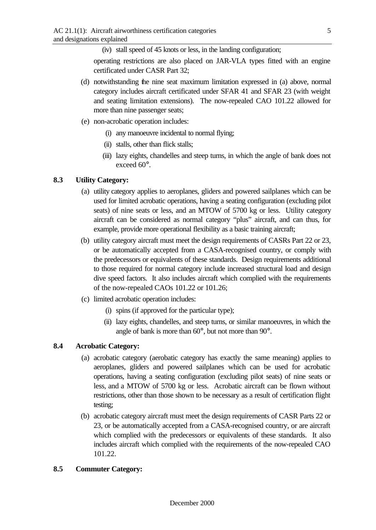(iv) stall speed of 45 knots or less, in the landing configuration;

operating restrictions are also placed on JAR-VLA types fitted with an engine certificated under CASR Part 32;

- (d) notwithstanding the nine seat maximum limitation expressed in (a) above, normal category includes aircraft certificated under SFAR 41 and SFAR 23 (with weight and seating limitation extensions). The now-repealed CAO 101.22 allowed for more than nine passenger seats;
- (e) non-acrobatic operation includes:
	- (i) any manoeuvre incidental to normal flying;
	- (ii) stalls, other than flick stalls;
	- (iii) lazy eights, chandelles and steep turns, in which the angle of bank does not exceed 60°.

### **8.3 Utility Category:**

- (a) utility category applies to aeroplanes, gliders and powered sailplanes which can be used for limited acrobatic operations, having a seating configuration (excluding pilot seats) of nine seats or less, and an MTOW of 5700 kg or less. Utility category aircraft can be considered as normal category "plus" aircraft, and can thus, for example, provide more operational flexibility as a basic training aircraft;
- (b) utility category aircraft must meet the design requirements of CASRs Part 22 or 23, or be automatically accepted from a CASA-recognised country, or comply with the predecessors or equivalents of these standards. Design requirements additional to those required for normal category include increased structural load and design dive speed factors. It also includes aircraft which complied with the requirements of the now-repealed CAOs 101.22 or 101.26;
- (c) limited acrobatic operation includes:
	- (i) spins (if approved for the particular type);
	- (ii) lazy eights, chandelles, and steep turns, or similar manoeuvres, in which the angle of bank is more than 60°, but not more than 90°.

### **8.4 Acrobatic Category:**

- (a) acrobatic category (aerobatic category has exactly the same meaning) applies to aeroplanes, gliders and powered sailplanes which can be used for acrobatic operations, having a seating configuration (excluding pilot seats) of nine seats or less, and a MTOW of 5700 kg or less. Acrobatic aircraft can be flown without restrictions, other than those shown to be necessary as a result of certification flight testing;
- (b) acrobatic category aircraft must meet the design requirements of CASR Parts 22 or 23, or be automatically accepted from a CASA-recognised country, or are aircraft which complied with the predecessors or equivalents of these standards. It also includes aircraft which complied with the requirements of the now-repealed CAO 101.22.

#### **8.5 Commuter Category:**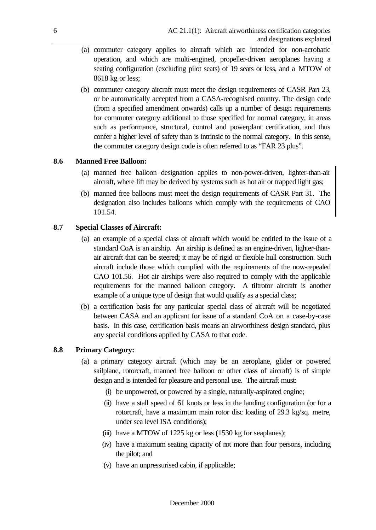- (a) commuter category applies to aircraft which are intended for non-acrobatic operation, and which are multi-engined, propeller-driven aeroplanes having a seating configuration (excluding pilot seats) of 19 seats or less, and a MTOW of 8618 kg or less;
- (b) commuter category aircraft must meet the design requirements of CASR Part 23, or be automatically accepted from a CASA-recognised country. The design code (from a specified amendment onwards) calls up a number of design requirements for commuter category additional to those specified for normal category, in areas such as performance, structural, control and powerplant certification, and thus confer a higher level of safety than is intrinsic to the normal category. In this sense, the commuter category design code is often referred to as "FAR 23 plus".

#### **8.6 Manned Free Balloon:**

- (a) manned free balloon designation applies to non-power-driven, lighter-than-air aircraft, where lift may be derived by systems such as hot air or trapped light gas;
- (b) manned free balloons must meet the design requirements of CASR Part 31. The designation also includes balloons which comply with the requirements of CAO 101.54.

#### **8.7 Special Classes of Aircraft:**

- (a) an example of a special class of aircraft which would be entitled to the issue of a standard CoA is an airship. An airship is defined as an engine-driven, lighter-thanair aircraft that can be steered; it may be of rigid or flexible hull construction. Such aircraft include those which complied with the requirements of the now-repealed CAO 101.56. Hot air airships were also required to comply with the applicable requirements for the manned balloon category. A tiltrotor aircraft is another example of a unique type of design that would qualify as a special class;
- (b) a certification basis for any particular special class of aircraft will be negotiated between CASA and an applicant for issue of a standard CoA on a case-by-case basis. In this case, certification basis means an airworthiness design standard, plus any special conditions applied by CASA to that code.

#### **8.8 Primary Category:**

- (a) a primary category aircraft (which may be an aeroplane, glider or powered sailplane, rotorcraft, manned free balloon or other class of aircraft) is of simple design and is intended for pleasure and personal use. The aircraft must:
	- (i) be unpowered, or powered by a single, naturally-aspirated engine;
	- (ii) have a stall speed of 61 knots or less in the landing configuration (or for a rotorcraft, have a maximum main rotor disc loading of 29.3 kg/sq. metre, under sea level ISA conditions);
	- (iii) have a MTOW of  $1225$  kg or less  $(1530 \text{ kg}$  for seaplanes);
	- (iv) have a maximum seating capacity of not more than four persons, including the pilot; and
	- (v) have an unpressurised cabin, if applicable;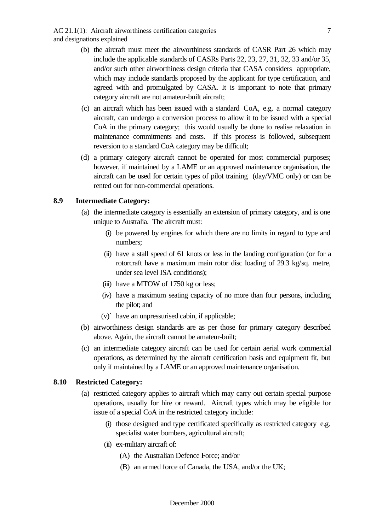- (b) the aircraft must meet the airworthiness standards of CASR Part 26 which may include the applicable standards of CASRs Parts 22, 23, 27, 31, 32, 33 and/or 35, and/or such other airworthiness design criteria that CASA considers appropriate, which may include standards proposed by the applicant for type certification, and agreed with and promulgated by CASA. It is important to note that primary category aircraft are not amateur-built aircraft;
- (c) an aircraft which has been issued with a standard CoA, e.g. a normal category aircraft, can undergo a conversion process to allow it to be issued with a special CoA in the primary category; this would usually be done to realise relaxation in maintenance commitments and costs. If this process is followed, subsequent reversion to a standard CoA category may be difficult;
- (d) a primary category aircraft cannot be operated for most commercial purposes; however, if maintained by a LAME or an approved maintenance organisation, the aircraft can be used for certain types of pilot training (day/VMC only) or can be rented out for non-commercial operations.

### **8.9 Intermediate Category:**

- (a) the intermediate category is essentially an extension of primary category, and is one unique to Australia. The aircraft must:
	- (i) be powered by engines for which there are no limits in regard to type and numbers;
	- (ii) have a stall speed of 61 knots or less in the landing configuration (or for a rotorcraft have a maximum main rotor disc loading of 29.3 kg/sq. metre, under sea level ISA conditions);
	- (iii) have a MTOW of 1750 kg or less;
	- (iv) have a maximum seating capacity of no more than four persons, including the pilot; and
	- (v)` have an unpressurised cabin, if applicable;
- (b) airworthiness design standards are as per those for primary category described above. Again, the aircraft cannot be amateur-built;
- (c) an intermediate category aircraft can be used for certain aerial work commercial operations, as determined by the aircraft certification basis and equipment fit, but only if maintained by a LAME or an approved maintenance organisation.

#### **8.10 Restricted Category:**

- (a) restricted category applies to aircraft which may carry out certain special purpose operations, usually for hire or reward. Aircraft types which may be eligible for issue of a special CoA in the restricted category include:
	- (i) those designed and type certificated specifically as restricted category e.g. specialist water bombers, agricultural aircraft;
	- (ii) ex-military aircraft of:
		- (A) the Australian Defence Force; and/or
		- (B) an armed force of Canada, the USA, and/or the UK;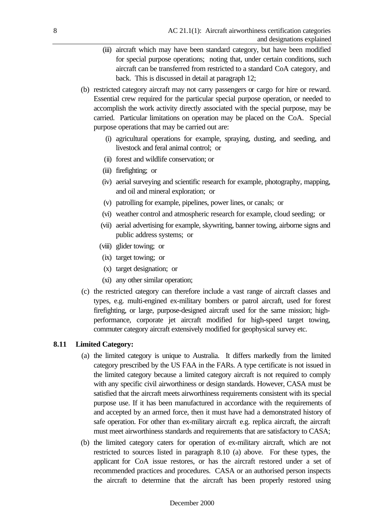- (iii) aircraft which may have been standard category, but have been modified for special purpose operations; noting that, under certain conditions, such aircraft can be transferred from restricted to a standard CoA category, and back. This is discussed in detail at paragraph 12;
- (b) restricted category aircraft may not carry passengers or cargo for hire or reward. Essential crew required for the particular special purpose operation, or needed to accomplish the work activity directly associated with the special purpose, may be carried. Particular limitations on operation may be placed on the CoA. Special purpose operations that may be carried out are:
	- (i) agricultural operations for example, spraying, dusting, and seeding, and livestock and feral animal control; or
	- (ii) forest and wildlife conservation; or
	- (iii) firefighting; or
	- (iv) aerial surveying and scientific research for example, photography, mapping, and oil and mineral exploration; or
	- (v) patrolling for example, pipelines, power lines, or canals; or
	- (vi) weather control and atmospheric research for example, cloud seeding; or
	- (vii) aerial advertising for example, skywriting, banner towing, airborne signs and public address systems; or
	- (viii) glider towing; or
	- (ix) target towing; or
	- (x) target designation; or
	- (xi) any other similar operation;
- (c) the restricted category can therefore include a vast range of aircraft classes and types, e.g. multi-engined ex-military bombers or patrol aircraft, used for forest firefighting, or large, purpose-designed aircraft used for the same mission; highperformance, corporate jet aircraft modified for high-speed target towing, commuter category aircraft extensively modified for geophysical survey etc.

### **8.11 Limited Category:**

- (a) the limited category is unique to Australia. It differs markedly from the limited category prescribed by the US FAA in the FARs. A type certificate is not issued in the limited category because a limited category aircraft is not required to comply with any specific civil airworthiness or design standards. However, CASA must be satisfied that the aircraft meets airworthiness requirements consistent with its special purpose use. If it has been manufactured in accordance with the requirements of and accepted by an armed force, then it must have had a demonstrated history of safe operation. For other than ex-military aircraft e.g. replica aircraft, the aircraft must meet airworthiness standards and requirements that are satisfactory to CASA;
- (b) the limited category caters for operation of ex-military aircraft, which are not restricted to sources listed in paragraph 8.10 (a) above. For these types, the applicant for CoA issue restores, or has the aircraft restored under a set of recommended practices and procedures. CASA or an authorised person inspects the aircraft to determine that the aircraft has been properly restored using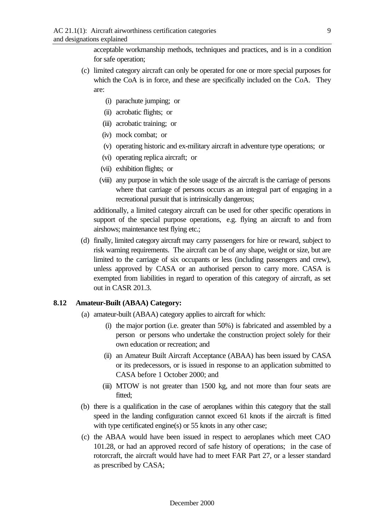acceptable workmanship methods, techniques and practices, and is in a condition for safe operation;

- (c) limited category aircraft can only be operated for one or more special purposes for which the CoA is in force, and these are specifically included on the CoA. They are:
	- (i) parachute jumping; or
	- (ii) acrobatic flights; or
	- (iii) acrobatic training; or
	- (iv) mock combat; or
	- (v) operating historic and ex-military aircraft in adventure type operations; or
	- (vi) operating replica aircraft; or
	- (vii) exhibition flights; or
	- (viii) any purpose in which the sole usage of the aircraft is the carriage of persons where that carriage of persons occurs as an integral part of engaging in a recreational pursuit that is intrinsically dangerous;

additionally, a limited category aircraft can be used for other specific operations in support of the special purpose operations, e.g. flying an aircraft to and from airshows; maintenance test flying etc.;

(d) finally, limited category aircraft may carry passengers for hire or reward, subject to risk warning requirements. The aircraft can be of any shape, weight or size, but are limited to the carriage of six occupants or less (including passengers and crew), unless approved by CASA or an authorised person to carry more. CASA is exempted from liabilities in regard to operation of this category of aircraft, as set out in CASR 201.3.

#### **8.12 Amateur-Built (ABAA) Category:**

- (a) amateur-built (ABAA) category applies to aircraft for which:
	- (i) the major portion (i.e. greater than 50%) is fabricated and assembled by a person or persons who undertake the construction project solely for their own education or recreation; and
	- (ii) an Amateur Built Aircraft Acceptance (ABAA) has been issued by CASA or its predecessors, or is issued in response to an application submitted to CASA before 1 October 2000; and
	- (iii) MTOW is not greater than 1500 kg, and not more than four seats are fitted;
- (b) there is a qualification in the case of aeroplanes within this category that the stall speed in the landing configuration cannot exceed 61 knots if the aircraft is fitted with type certificated engine(s) or 55 knots in any other case;
- (c) the ABAA would have been issued in respect to aeroplanes which meet CAO 101.28, or had an approved record of safe history of operations; in the case of rotorcraft, the aircraft would have had to meet FAR Part 27, or a lesser standard as prescribed by CASA;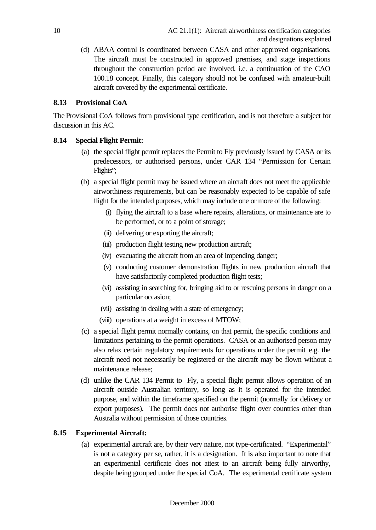(d) ABAA control is coordinated between CASA and other approved organisations. The aircraft must be constructed in approved premises, and stage inspections throughout the construction period are involved. i.e. a continuation of the CAO 100.18 concept. Finally, this category should not be confused with amateur-built aircraft covered by the experimental certificate.

# **8.13 Provisional CoA**

The Provisional CoA follows from provisional type certification, and is not therefore a subject for discussion in this AC.

### **8.14 Special Flight Permit:**

- (a) the special flight permit replaces the Permit to Fly previously issued by CASA or its predecessors, or authorised persons, under CAR 134 "Permission for Certain Flights";
- (b) a special flight permit may be issued where an aircraft does not meet the applicable airworthiness requirements, but can be reasonably expected to be capable of safe flight for the intended purposes, which may include one or more of the following:
	- (i) flying the aircraft to a base where repairs, alterations, or maintenance are to be performed, or to a point of storage;
	- (ii) delivering or exporting the aircraft;
	- (iii) production flight testing new production aircraft;
	- (iv) evacuating the aircraft from an area of impending danger;
	- (v) conducting customer demonstration flights in new production aircraft that have satisfactorily completed production flight tests;
	- (vi) assisting in searching for, bringing aid to or rescuing persons in danger on a particular occasion;
	- (vii) assisting in dealing with a state of emergency;
	- (viii) operations at a weight in excess of MTOW;
- (c) a special flight permit normally contains, on that permit, the specific conditions and limitations pertaining to the permit operations. CASA or an authorised person may also relax certain regulatory requirements for operations under the permit e.g. the aircraft need not necessarily be registered or the aircraft may be flown without a maintenance release;
- (d) unlike the CAR 134 Permit to Fly, a special flight permit allows operation of an aircraft outside Australian territory, so long as it is operated for the intended purpose, and within the timeframe specified on the permit (normally for delivery or export purposes). The permit does not authorise flight over countries other than Australia without permission of those countries.

# **8.15 Experimental Aircraft:**

(a) experimental aircraft are, by their very nature, not type-certificated. "Experimental" is not a category per se, rather, it is a designation. It is also important to note that an experimental certificate does not attest to an aircraft being fully airworthy, despite being grouped under the special CoA. The experimental certificate system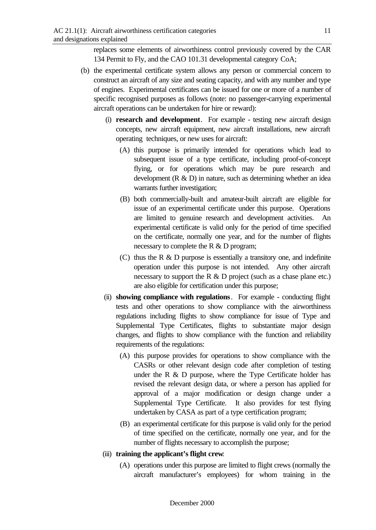replaces some elements of airworthiness control previously covered by the CAR 134 Permit to Fly, and the CAO 101.31 developmental category CoA;

- (b) the experimental certificate system allows any person or commercial concern to construct an aircraft of any size and seating capacity, and with any number and type of engines. Experimental certificates can be issued for one or more of a number of specific recognised purposes as follows (note: no passenger-carrying experimental aircraft operations can be undertaken for hire or reward):
	- (i) **research and development**. For example testing new aircraft design concepts, new aircraft equipment, new aircraft installations, new aircraft operating techniques, or new uses for aircraft:
		- (A) this purpose is primarily intended for operations which lead to subsequent issue of a type certificate, including proof-of-concept flying, or for operations which may be pure research and development  $(R & D)$  in nature, such as determining whether an idea warrants further investigation;
		- (B) both commercially-built and amateur-built aircraft are eligible for issue of an experimental certificate under this purpose. Operations are limited to genuine research and development activities. An experimental certificate is valid only for the period of time specified on the certificate, normally one year, and for the number of flights necessary to complete the R & D program;
		- (C) thus the R & D purpose is essentially a transitory one, and indefinite operation under this purpose is not intended. Any other aircraft necessary to support the R & D project (such as a chase plane etc.) are also eligible for certification under this purpose;
	- (ii) **showing compliance with regulations**. For example conducting flight tests and other operations to show compliance with the airworthiness regulations including flights to show compliance for issue of Type and Supplemental Type Certificates, flights to substantiate major design changes, and flights to show compliance with the function and reliability requirements of the regulations:
		- (A) this purpose provides for operations to show compliance with the CASRs or other relevant design code after completion of testing under the R  $\&$  D purpose, where the Type Certificate holder has revised the relevant design data, or where a person has applied for approval of a major modification or design change under a Supplemental Type Certificate. It also provides for test flying undertaken by CASA as part of a type certification program;
		- (B) an experimental certificate for this purpose is valid only for the period of time specified on the certificate, normally one year, and for the number of flights necessary to accomplish the purpose;
	- (iii) **training the applicant's flight crew**:
		- (A) operations under this purpose are limited to flight crews (normally the aircraft manufacturer's employees) for whom training in the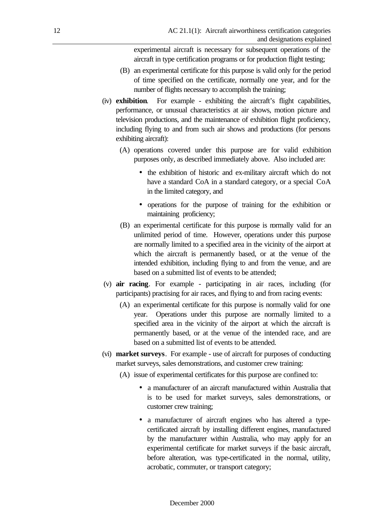experimental aircraft is necessary for subsequent operations of the aircraft in type certification programs or for production flight testing;

- (B) an experimental certificate for this purpose is valid only for the period of time specified on the certificate, normally one year, and for the number of flights necessary to accomplish the training;
- (iv) **exhibition**. For example exhibiting the aircraft's flight capabilities, performance, or unusual characteristics at air shows, motion picture and television productions, and the maintenance of exhibition flight proficiency, including flying to and from such air shows and productions (for persons exhibiting aircraft):
	- (A) operations covered under this purpose are for valid exhibition purposes only, as described immediately above. Also included are:
		- the exhibition of historic and ex-military aircraft which do not have a standard CoA in a standard category, or a special CoA in the limited category, and
		- operations for the purpose of training for the exhibition or maintaining proficiency;
	- (B) an experimental certificate for this purpose is normally valid for an unlimited period of time. However, operations under this purpose are normally limited to a specified area in the vicinity of the airport at which the aircraft is permanently based, or at the venue of the intended exhibition, including flying to and from the venue, and are based on a submitted list of events to be attended;
- (v) **air racing**. For example participating in air races, including (for participants) practising for air races, and flying to and from racing events:
	- (A) an experimental certificate for this purpose is normally valid for one year. Operations under this purpose are normally limited to a specified area in the vicinity of the airport at which the aircraft is permanently based, or at the venue of the intended race, and are based on a submitted list of events to be attended.
- (vi) **market surveys**. For example use of aircraft for purposes of conducting market surveys, sales demonstrations, and customer crew training:
	- (A) issue of experimental certificates for this purpose are confined to:
		- a manufacturer of an aircraft manufactured within Australia that is to be used for market surveys, sales demonstrations, or customer crew training;
		- a manufacturer of aircraft engines who has altered a typecertificated aircraft by installing different engines, manufactured by the manufacturer within Australia, who may apply for an experimental certificate for market surveys if the basic aircraft, before alteration, was type-certificated in the normal, utility, acrobatic, commuter, or transport category;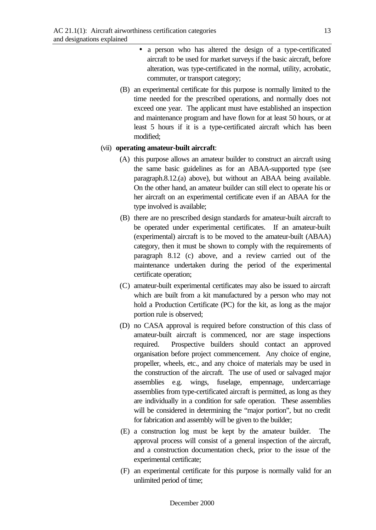- a person who has altered the design of a type-certificated aircraft to be used for market surveys if the basic aircraft, before alteration, was type-certificated in the normal, utility, acrobatic, commuter, or transport category;
- (B) an experimental certificate for this purpose is normally limited to the time needed for the prescribed operations, and normally does not exceed one year. The applicant must have established an inspection and maintenance program and have flown for at least 50 hours, or at least 5 hours if it is a type-certificated aircraft which has been modified;

#### (vii) **operating amateur-built aircraft**:

- (A) this purpose allows an amateur builder to construct an aircraft using the same basic guidelines as for an ABAA-supported type (see paragraph.8.12.(a) above), but without an ABAA being available. On the other hand, an amateur builder can still elect to operate his or her aircraft on an experimental certificate even if an ABAA for the type involved is available;
- (B) there are no prescribed design standards for amateur-built aircraft to be operated under experimental certificates. If an amateur-built (experimental) aircraft is to be moved to the amateur-built (ABAA) category, then it must be shown to comply with the requirements of paragraph 8.12 (c) above, and a review carried out of the maintenance undertaken during the period of the experimental certificate operation;
- (C) amateur-built experimental certificates may also be issued to aircraft which are built from a kit manufactured by a person who may not hold a Production Certificate (PC) for the kit, as long as the major portion rule is observed;
- (D) no CASA approval is required before construction of this class of amateur-built aircraft is commenced, nor are stage inspections required. Prospective builders should contact an approved organisation before project commencement. Any choice of engine, propeller, wheels, etc., and any choice of materials may be used in the construction of the aircraft. The use of used or salvaged major assemblies e.g. wings, fuselage, empennage, undercarriage assemblies from type-certificated aircraft is permitted, as long as they are individually in a condition for safe operation. These assemblies will be considered in determining the "major portion", but no credit for fabrication and assembly will be given to the builder;
- (E) a construction log must be kept by the amateur builder. The approval process will consist of a general inspection of the aircraft, and a construction documentation check, prior to the issue of the experimental certificate;
- (F) an experimental certificate for this purpose is normally valid for an unlimited period of time;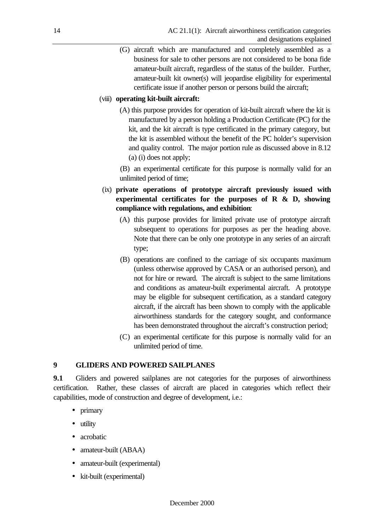(G) aircraft which are manufactured and completely assembled as a business for sale to other persons are not considered to be bona fide amateur-built aircraft, regardless of the status of the builder. Further, amateur-built kit owner(s) will jeopardise eligibility for experimental certificate issue if another person or persons build the aircraft;

### (viii) **operating kit-built aircraft:**

(A) this purpose provides for operation of kit-built aircraft where the kit is manufactured by a person holding a Production Certificate (PC) for the kit, and the kit aircraft is type certificated in the primary category, but the kit is assembled without the benefit of the PC holder's supervision and quality control. The major portion rule as discussed above in 8.12 (a) (i) does not apply;

(B) an experimental certificate for this purpose is normally valid for an unlimited period of time;

- (ix) **private operations of prototype aircraft previously issued with experimental certificates for the purposes of R & D, showing compliance with regulations, and exhibition**:
	- (A) this purpose provides for limited private use of prototype aircraft subsequent to operations for purposes as per the heading above. Note that there can be only one prototype in any series of an aircraft type;
	- (B) operations are confined to the carriage of six occupants maximum (unless otherwise approved by CASA or an authorised person), and not for hire or reward. The aircraft is subject to the same limitations and conditions as amateur-built experimental aircraft. A prototype may be eligible for subsequent certification, as a standard category aircraft, if the aircraft has been shown to comply with the applicable airworthiness standards for the category sought, and conformance has been demonstrated throughout the aircraft's construction period;
	- (C) an experimental certificate for this purpose is normally valid for an unlimited period of time.

# **9 GLIDERS AND POWERED SAILPLANES**

**9.1** Gliders and powered sailplanes are not categories for the purposes of airworthiness certification. Rather, these classes of aircraft are placed in categories which reflect their capabilities, mode of construction and degree of development, i.e.:

- primary
- utility
- acrobatic
- amateur-built (ABAA)
- amateur-built (experimental)
- kit-built (experimental)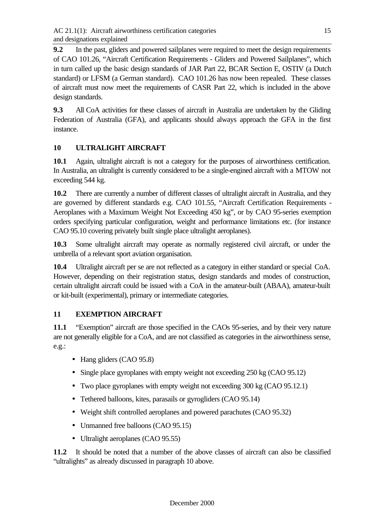**9.2** In the past, gliders and powered sailplanes were required to meet the design requirements of CAO 101.26, "Aircraft Certification Requirements - Gliders and Powered Sailplanes", which in turn called up the basic design standards of JAR Part 22, BCAR Section E, OSTIV (a Dutch standard) or LFSM (a German standard). CAO 101.26 has now been repealed. These classes of aircraft must now meet the requirements of CASR Part 22, which is included in the above design standards.

**9.3** All CoA activities for these classes of aircraft in Australia are undertaken by the Gliding Federation of Australia (GFA), and applicants should always approach the GFA in the first instance.

# **10 ULTRALIGHT AIRCRAFT**

**10.1** Again, ultralight aircraft is not a category for the purposes of airworthiness certification. In Australia, an ultralight is currently considered to be a single-engined aircraft with a MTOW not exceeding 544 kg.

**10.2** There are currently a number of different classes of ultralight aircraft in Australia, and they are governed by different standards e.g. CAO 101.55, "Aircraft Certification Requirements - Aeroplanes with a Maximum Weight Not Exceeding 450 kg", or by CAO 95-series exemption orders specifying particular configuration, weight and performance limitations etc. (for instance CAO 95.10 covering privately built single place ultralight aeroplanes).

**10.3** Some ultralight aircraft may operate as normally registered civil aircraft, or under the umbrella of a relevant sport aviation organisation.

**10.4** Ultralight aircraft per se are not reflected as a category in either standard or special CoA. However, depending on their registration status, design standards and modes of construction, certain ultralight aircraft could be issued with a CoA in the amateur-built (ABAA), amateur-built or kit-built (experimental), primary or intermediate categories.

# **11 EXEMPTION AIRCRAFT**

**11.1** "Exemption" aircraft are those specified in the CAOs 95-series, and by their very nature are not generally eligible for a CoA, and are not classified as categories in the airworthiness sense, e.g.:

- Hang gliders (CAO 95.8)
- Single place gyroplanes with empty weight not exceeding 250 kg (CAO 95.12)
- Two place gyroplanes with empty weight not exceeding 300 kg (CAO 95.12.1)
- Tethered balloons, kites, parasails or gyrogliders (CAO 95.14)
- Weight shift controlled aeroplanes and powered parachutes (CAO 95.32)
- Unmanned free balloons (CAO 95.15)
- Ultralight aeroplanes (CAO 95.55)

**11.2** It should be noted that a number of the above classes of aircraft can also be classified "ultralights" as already discussed in paragraph 10 above.